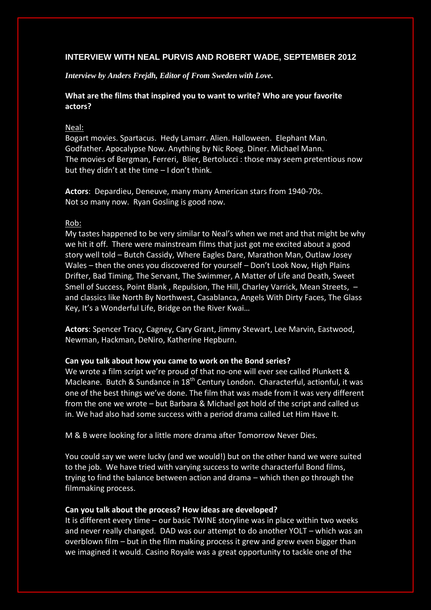## **INTERVIEW WITH NEAL PURVIS AND ROBERT WADE, SEPTEMBER 2012**

*Interview by Anders Frejdh, Editor of From Sweden with Love.*

# **What are the films that inspired you to want to write? Who are your favorite actors?**

## Neal:

Bogart movies. Spartacus. Hedy Lamarr. Alien. Halloween. Elephant Man. Godfather. Apocalypse Now. Anything by Nic Roeg. Diner. Michael Mann. The movies of Bergman, Ferreri, Blier, Bertolucci : those may seem pretentious now but they didn't at the time – I don't think.

**Actors**: Depardieu, Deneuve, many many American stars from 1940-70s. Not so many now. Ryan Gosling is good now.

### Rob:

My tastes happened to be very similar to Neal's when we met and that might be why we hit it off. There were mainstream films that just got me excited about a good story well told – Butch Cassidy, Where Eagles Dare, Marathon Man, Outlaw Josey Wales – then the ones you discovered for yourself – Don't Look Now, High Plains Drifter, Bad Timing, The Servant, The Swimmer, A Matter of Life and Death, Sweet Smell of Success, Point Blank , Repulsion, The Hill, Charley Varrick, Mean Streets, – and classics like North By Northwest, Casablanca, Angels With Dirty Faces, The Glass Key, It's a Wonderful Life, Bridge on the River Kwai…

**Actors**: Spencer Tracy, Cagney, Cary Grant, Jimmy Stewart, Lee Marvin, Eastwood, Newman, Hackman, DeNiro, Katherine Hepburn.

## **Can you talk about how you came to work on the Bond series?**

We wrote a film script we're proud of that no-one will ever see called Plunkett & Macleane. Butch & Sundance in 18<sup>th</sup> Century London. Characterful, actionful, it was one of the best things we've done. The film that was made from it was very different from the one we wrote – but Barbara & Michael got hold of the script and called us in. We had also had some success with a period drama called Let Him Have It.

M & B were looking for a little more drama after Tomorrow Never Dies.

You could say we were lucky (and we would!) but on the other hand we were suited to the job. We have tried with varying success to write characterful Bond films, trying to find the balance between action and drama – which then go through the filmmaking process.

### **Can you talk about the process? How ideas are developed?**

It is different every time – our basic TWINE storyline was in place within two weeks and never really changed. DAD was our attempt to do another YOLT – which was an overblown film – but in the film making process it grew and grew even bigger than we imagined it would. Casino Royale was a great opportunity to tackle one of the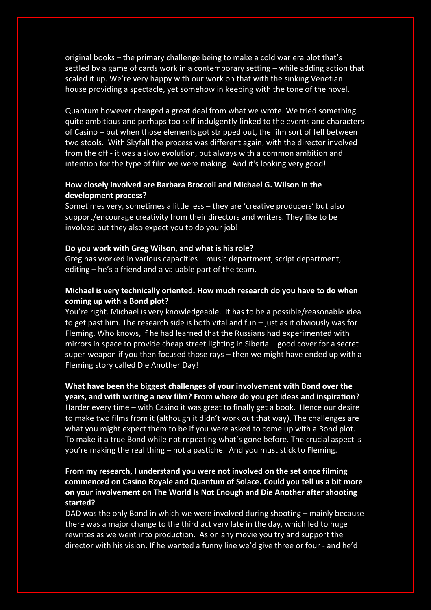original books – the primary challenge being to make a cold war era plot that's settled by a game of cards work in a contemporary setting – while adding action that scaled it up. We're very happy with our work on that with the sinking Venetian house providing a spectacle, yet somehow in keeping with the tone of the novel.

Quantum however changed a great deal from what we wrote. We tried something quite ambitious and perhaps too self-indulgently-linked to the events and characters of Casino – but when those elements got stripped out, the film sort of fell between two stools. With Skyfall the process was different again, with the director involved from the off - it was a slow evolution, but always with a common ambition and intention for the type of film we were making. And it's looking very good!

## **How closely involved are Barbara Broccoli and Michael G. Wilson in the development process?**

Sometimes very, sometimes a little less – they are 'creative producers' but also support/encourage creativity from their directors and writers. They like to be involved but they also expect you to do your job!

### **Do you work with Greg Wilson, and what is his role?**

Greg has worked in various capacities – music department, script department, editing – he's a friend and a valuable part of the team.

# **Michael is very technically oriented. How much research do you have to do when coming up with a Bond plot?**

You're right. Michael is very knowledgeable. It has to be a possible/reasonable idea to get past him. The research side is both vital and fun – just as it obviously was for Fleming. Who knows, if he had learned that the Russians had experimented with mirrors in space to provide cheap street lighting in Siberia – good cover for a secret super-weapon if you then focused those rays – then we might have ended up with a Fleming story called Die Another Day!

**What have been the biggest challenges of your involvement with Bond over the years, and with writing a new film? From where do you get ideas and inspiration?** Harder every time – with Casino it was great to finally get a book. Hence our desire to make two films from it (although it didn't work out that way). The challenges are what you might expect them to be if you were asked to come up with a Bond plot. To make it a true Bond while not repeating what's gone before. The crucial aspect is you're making the real thing – not a pastiche. And you must stick to Fleming.

# **From my research, I understand you were not involved on the set once filming commenced on Casino Royale and Quantum of Solace. Could you tell us a bit more on your involvement on The World Is Not Enough and Die Another after shooting started?**

DAD was the only Bond in which we were involved during shooting – mainly because there was a major change to the third act very late in the day, which led to huge rewrites as we went into production. As on any movie you try and support the director with his vision. If he wanted a funny line we'd give three or four - and he'd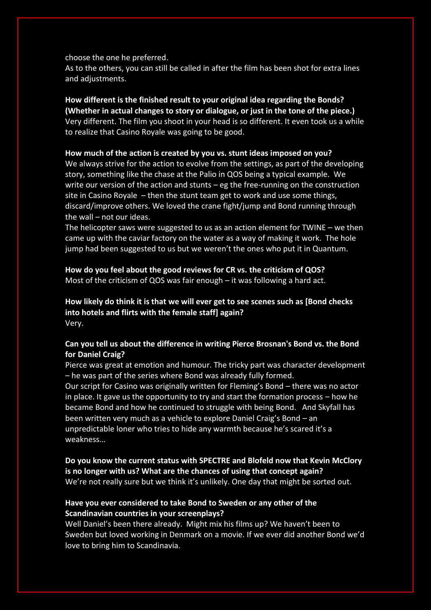choose the one he preferred.

As to the others, you can still be called in after the film has been shot for extra lines and adjustments.

# **How different is the finished result to your original idea regarding the Bonds? (Whether in actual changes to story or dialogue, or just in the tone of the piece.)** Very different. The film you shoot in your head is so different. It even took us a while to realize that Casino Royale was going to be good.

### **How much of the action is created by you vs. stunt ideas imposed on you?**

We always strive for the action to evolve from the settings, as part of the developing story, something like the chase at the Palio in QOS being a typical example. We write our version of the action and stunts – eg the free-running on the construction site in Casino Royale – then the stunt team get to work and use some things, discard/improve others. We loved the crane fight/jump and Bond running through the wall – not our ideas.

The helicopter saws were suggested to us as an action element for  $TWINE - we$  then came up with the caviar factory on the water as a way of making it work. The hole jump had been suggested to us but we weren't the ones who put it in Quantum.

**How do you feel about the good reviews for CR vs. the criticism of QOS?** Most of the criticism of QOS was fair enough – it was following a hard act.

## **How likely do think it is that we will ever get to see scenes such as [Bond checks into hotels and flirts with the female staff] again?** Very.

## **Can you tell us about the difference in writing Pierce Brosnan's Bond vs. the Bond for Daniel Craig?**

Pierce was great at emotion and humour. The tricky part was character development – he was part of the series where Bond was already fully formed.

Our script for Casino was originally written for Fleming's Bond – there was no actor in place. It gave us the opportunity to try and start the formation process – how he became Bond and how he continued to struggle with being Bond. And Skyfall has been written very much as a vehicle to explore Daniel Craig's Bond – an unpredictable loner who tries to hide any warmth because he's scared it's a weakness…

**Do you know the current status with SPECTRE and Blofeld now that Kevin McClory is no longer with us? What are the chances of using that concept again?** We're not really sure but we think it's unlikely. One day that might be sorted out.

# **Have you ever considered to take Bond to Sweden or any other of the Scandinavian countries in your screenplays?**

Well Daniel's been there already. Might mix his films up? We haven't been to Sweden but loved working in Denmark on a movie. If we ever did another Bond we'd love to bring him to Scandinavia.